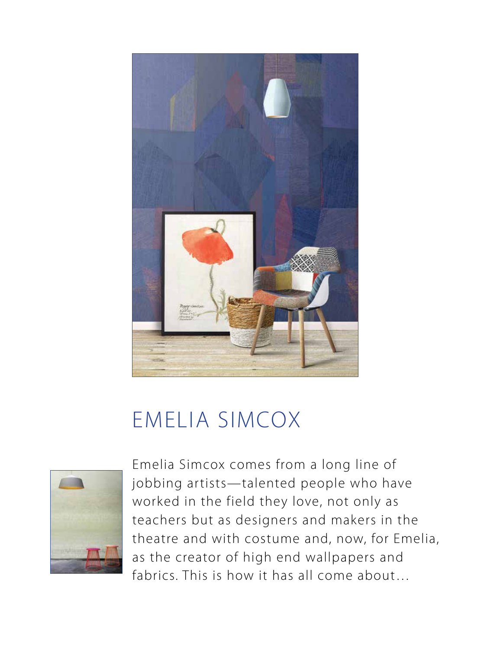

## EMELIA SIMCOX



Emelia Simcox comes from a long line of jobbing artists—talented people who have worked in the field they love, not only as teachers but as designers and makers in the theatre and with costume and, now, for Emelia, as the creator of high end wallpapers and fabrics. This is how it has all come about…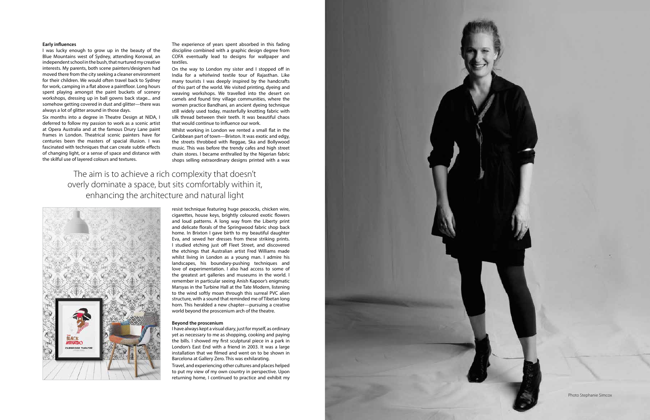## **Early influences**

I was lucky enough to grow up in the beauty of the Blue Mountains west of Sydney, attending Korowal, an independent school in the bush, that nurtured my creative interests. My parents, both scene painters/designers had moved there from the city seeking a cleaner environment for their children. We would often travel back to Sydney for work, camping in a flat above a paintfloor. Long hours spent playing amongst the paint buckets of scenery workshops, dressing up in ball gowns back stage... and somehow getting covered in dust and glitter—there was always a lot of glitter around in those days.

Six months into a degree in Theatre Design at NIDA, I deferred to follow my passion to work as a scenic artist at Opera Australia and at the famous Drury Lane paint frames in London. Theatrical scenic painters have for centuries been the masters of spacial illusion. I was fascinated with techniques that can create subtle effects of changing light, or a sense of space and distance with the skilful use of layered colours and textures.

The experience of years spent absorbed in this fading discipline combined with a graphic design degree from COFA eventually lead to designs for wallpaper and textiles.

On the way to London my sister and I stopped off in India for a whirlwind textile tour of Rajasthan. Like many tourists I was deeply inspired by the handcrafts of this part of the world. We visited printing, dyeing and weaving workshops. We travelled into the desert on camels and found tiny village communities, where the women practice Bandhani, an ancient dyeing technique still widely used today, masterfully knotting fabric with silk thread between their teeth. It was beautiful chaos that would continue to influence our work.

Whilst working in London we rented a small flat in the Caribbean part of town—Brixton. It was exotic and edgy, the streets throbbed with Reggae, Ska and Bollywood music. This was before the trendy cafes and high street chain stores. I became enthralled by the Nigerian fabric shops selling extraordinary designs printed with a wax

The aim is to achieve a rich complexity that doesn't overly dominate a space, but sits comfortably within it, enhancing the architecture and natural light



resist technique featuring huge peacocks, chicken wire, cigarettes, house keys, brightly coloured exotic flowers and loud patterns. A long way from the Liberty print and delicate florals of the Springwood fabric shop back home. In Brixton I gave birth to my beautiful daughter Eva, and sewed her dresses from these striking prints. I studied etching just off Fleet Street, and discovered the etchings that Australian artist Fred Williams made whilst living in London as a young man. I admire his landscapes, his boundary-pushing techniques and love of experimentation. I also had access to some of the greatest art galleries and museums in the world. I remember in particular seeing Anish Kapoor's enigmatic Marsyas in the Turbine Hall at the Tate Modern, listening to the wind softly moan through this surreal PVC alien structure, with a sound that reminded me of Tibetan long horn. This heralded a new chapter—pursuing a creative world beyond the proscenium arch of the theatre.

## **Beyond the proscenium**

I have always kept a visual diary, just for myself, as ordinary yet as necessary to me as shopping, cooking and paying the bills. I showed my first sculptural piece in a park in London's East End with a friend in 2003. It was a large installation that we filmed and went on to be shown in Barcelona at Gallery Zero. This was exhilarating. Travel, and experiencing other cultures and places helped to put my view of my own country in perspective. Upon returning home, I continued to practice and exhibit my



Photo Stephanie Simcox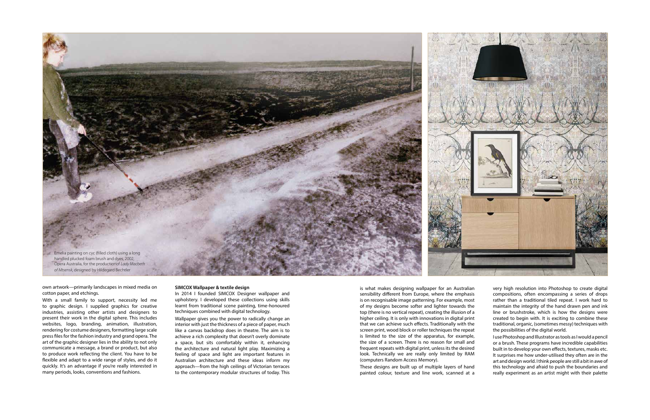## **SIMCOX Wallpaper & textile design**

In 2014 I founded SIMCOX Designer wallpaper and upholstery. I developed these collections using skills learnt from traditional scene painting, time-honoured techniques combined with digital technology.

Wallpaper gives you the power to radically change an interior with just the thickness of a piece of paper, much like a canvas backdrop does in theatre. The aim is to achieve a rich complexity that doesn't overly dominate a space, but sits comfortably within it, enhancing the architecture and natural light play. Maximizing a feeling of space and light are important features in Australian architecture and these ideas inform my approach—from the high ceilings of Victorian terraces to the contemporary modular structures of today. This

own artwork—primarily landscapes in mixed media on cotton paper, and etchings.

With a small family to support, necessity led me to graphic design. I supplied graphics for creative industries, assisting other artists and designers to present their work in the digital sphere. This includes websites, logo, branding, animation, illustration, rendering for costume designers, formatting large scale press files for the fashion industry and grand opera. The art of the graphic designer lies in the ability to not only communicate a message, a brand or product, but also to produce work reflecting the client. You have to be flexible and adapt to a wide range of styles, and do it quickly. It's an advantage if you're really interested in many periods, looks, conventions and fashions.

is what makes designing wallpaper for an Australian sensibility different from Europe, where the emphasis is on recognisable image patterning. For example, most of my designs become softer and lighter towards the top (there is no vertical repeat), creating the illusion of a higher ceiling. It is only with innovations in digital print that we can achieve such effects. Traditionally with the screen print, wood block or roller techniques the repeat is limited to the size of the apparatus, for example, the size of a screen. There is no reason for small and frequent repeats with digital print, unless its the desired look. Technically we are really only limited by RAM (computers Random Access Memory).

These designs are built up of multiple layers of hand painted colour, texture and line work, scanned at a



very high resolution into Photoshop to create digital compositions, often encompassing a series of drops rather than a traditional tiled repeat. I work hard to maintain the integrity of the hand drawn pen and ink line or brushstroke, which is how the designs were created to begin with. It is exciting to combine these traditional, organic, (sometimes messy) techniques with the possibilities of the digital world.

I use Photoshop and Illustrator as tools as I would a pencil or a brush. These programs have incredible capabilities built in to develop your own effects, textures, masks etc. It surprises me how under-utilised they often are in the art and design world. I think people are still a bit in awe of this technology and afraid to push the boundaries and really experiment as an artist might with their palette